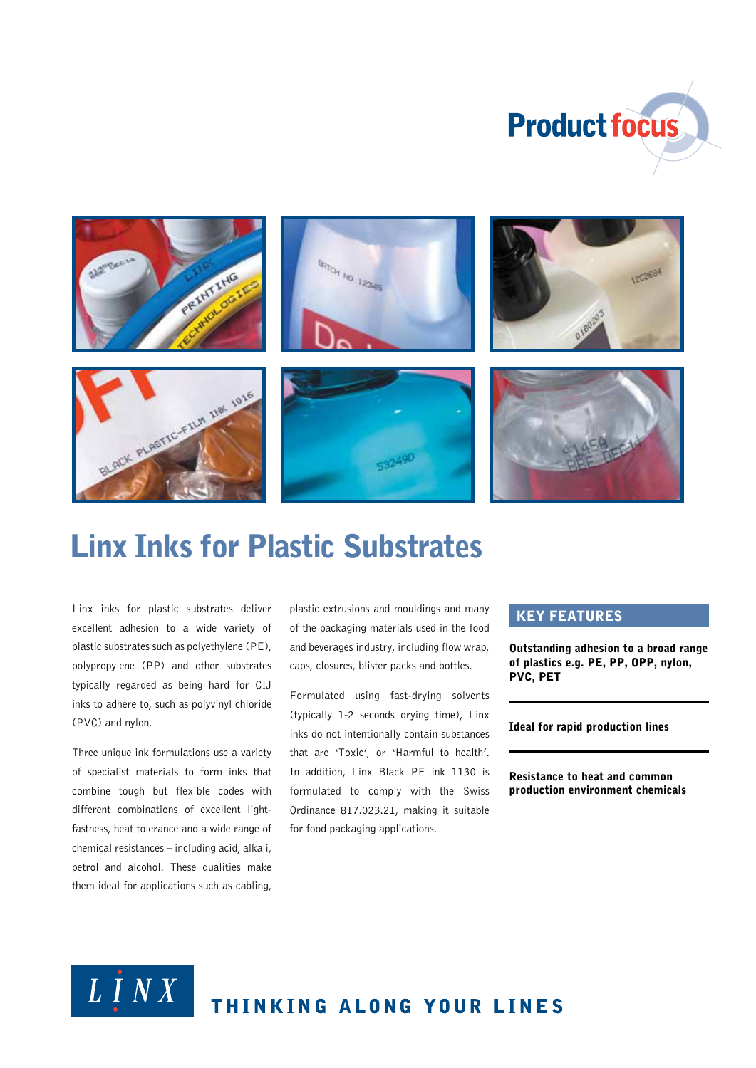



# Linx Inks for Plastic Substrates

Linx inks for plastic substrates deliver excellent adhesion to a wide variety of plastic substrates such as polyethylene (PE), polypropylene (PP) and other substrates typically regarded as being hard for CIJ inks to adhere to, such as polyvinyl chloride (PVC) and nylon.

Three unique ink formulations use a variety of specialist materials to form inks that combine tough but flexible codes with different combinations of excellent lightfastness, heat tolerance and a wide range of chemical resistances – including acid, alkali, petrol and alcohol. These qualities make them ideal for applications such as cabling,

plastic extrusions and mouldings and many of the packaging materials used in the food and beverages industry, including flow wrap, caps, closures, blister packs and bottles.

Formulated using fast-drying solvents (typically 1-2 seconds drying time), Linx inks do not intentionally contain substances that are 'Toxic', or 'Harmful to health'. In addition, Linx Black PE ink 1130 is formulated to comply with the Swiss Ordinance 817.023.21, making it suitable for food packaging applications.

#### Key features

Outstanding adhesion to a broad range of plastics e.g. PE, PP, OPP, nylon, PVC, PET

Ideal for rapid production lines

Resistance to heat and common production environment chemicals



# THINKING ALONG YOUR LINES